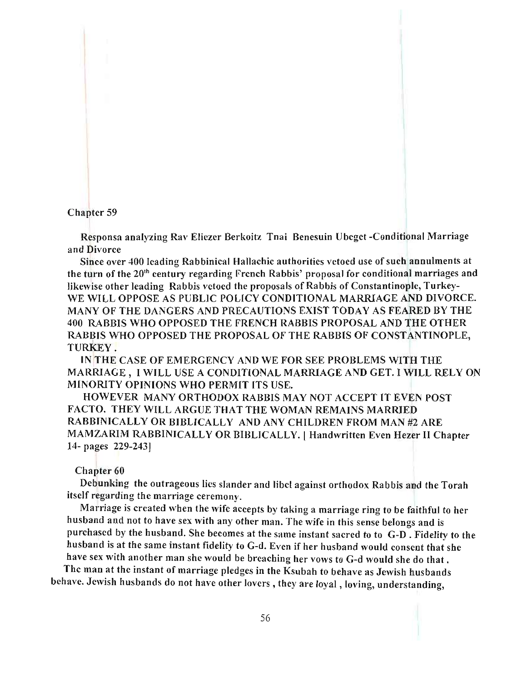## Chapter 59

Responsa analyzing Rav Eliezer Berkoitz Tnai Benesuin Ubeget -Conditional Marriage and Divorce

Since over 400 leading Rabbinical Hallachic authorities vetoed use of such annulments at the turn of the 20th century regarding French Rabbis' proposal for conditional marriages and likewise other leading Rabbis vetoed the proposals of Rabbis of Constantinople, Turkey-WE WILL OPPOSE AS PUBLIC POLICY CONDITIONAL MARRIAGE AND DIVORCE. MANY OF THE DANGERS AND PRECAUTIONS EXIST TODAY AS FEARED BY THE 400 RABBIS WHO OPPOSED THE FRENCH RABBIS PROPOSAL AND THE OTHER RABBIS WHO OPPOSED THE PROPOSAL OF THE RABBIS OF CONSTANTINOPLE, TURKEY.

IN THE CASE OF EMERGENCY AND WE FOR SEE PROBLEMS WITH THE MARRIAGE, I WILL USE A CONDITIONAL MARRIAGE AND GET. I WILL RELY ON MINORITY OPINIONS WHO PERMIT ITS USE.

HOWEVER MANY ORTHODOX RABBIS MAY NOT ACCEPT IT EVEN POST FACTO. THEY WILL ARGUE THAT THE WOMAN REMAINS MARRIED RABBINICALL Y OR BIBLICALLY AND ANY CHILDREN FROM MAN #2 ARE MAMZARIM RABBINICALLY OR BIBLICALLY. I Handwritten Even Hezer II Chapter 14- pages 229-243J

#### Chapter 60

Debunking the outrageous lies slander and libel against orthodox Rabbis and the Torah itself regarding the marriage ceremony.

Marriage is created when the wife accepts by taking a marriage ring to be faithful to her husband and not to have sex with any other man. The wife in this sense belongs and is purchased by the husband. She becomes at the same instant sacred to to G-D. Fidelity to the husband is at the same instant fidelity to G-d. Even if her husband would consent that she have sex with another man she would be breaching her vows to G-d would she do that.

The man at the instant of marriage pledges in the Ksubah to behave as Jewish husbands behave. Jewish husbands do not have other lovers, they are loyal, loving, understanding,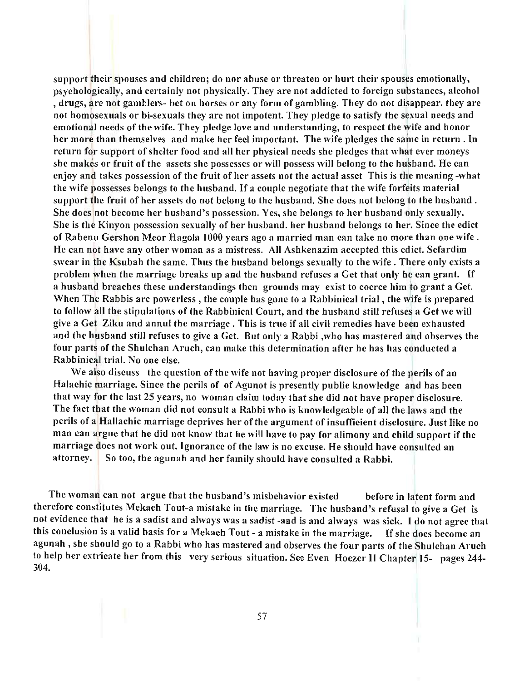support their spouses and children; do nor abuse or threaten or hurt their spouses emotionally, psychologically, and certainly not physically. They are not addicted to foreign substances, alcohol , drugs, a re not gamblers- bet on horses or any form of gambling. They do not disappear. they are not homosexuals or bi-sexuals they are not impotent. They pledge to satisfy the sexual needs and emotional needs of the wife. They pledge love and understanding, to respect the wife and honor her more than themselves and make her feel important. The wife pledges the same in return. In return for support of shelter food and all her physical needs she pledges that what ever moneys she makes or fruit of the assets she possesses or will possess will belong to the husband. He can enjoy and takes possession of the fruit of her assets not the actual asset This is the meaning -what the wife possesses belongs to the husband. If a couple negotiate that the wife forfeits material support the fruit of her assets do not belong to the husband. She does not belong to the husband. She does not become her husband's possession. Yes, she belongs to her husband only sexually. She is the Kinyon possession sexually of her husband. her husband belongs to her. Since the edict of Rabenu Gershon Meor Hagola 1000 years ago a married man can take no more than one wife. He can not have any other woman as a mistress. All Ashkenazim accepted this edict. Sefardim swear in the Ksubah the same. Thus the husband belongs sexually to the wife. There only exists a problem when the marriage breaks up and the husband refuses a Get that only he can grant. If a husband breaches these understandings then grounds may exist to coerce him to grant a Get. When The Rabbis are powerless, the couple has gone to a Rabbinical trial, the wife is prepared to follow all the stipulations of the Rabbinical Court, and the husband still refuses a Get we will give a Get Ziku and annul the marriage. This is true if all civil remedies have been exhausted and the husband still refuses to give a Get. But only a Rabbi ,who has mastered and observes the four parts of the Shulchan Aruch, can make this determination after he has has conducted a Rabbinical trial. No one else.

We also discuss the question of the wife not having proper disclosure of the perils of an Halachic marriage. Since the perils of of Agunot is presently public knowledge and has been that way for the last 25 years, no woman claim today that she did not have proper disclosure. The fact that the woman did not consult a Rabbi who is knowledgeable of all the laws and the perils of a Hallachic marriage deprives her of the argument of insufficient disclosure. Just like no man can argue that he did not know that he will have to pay for alimony and child support if the marriage does not work out. Ignorance of the law is no excuse. He should have consulted an attorney. So too, the agunah and her family should have consulted a Rabbi.

The woman can not argue that the husband's misbehavior existed before in latent form and therefore constitutes Mekach Tout-a mistake in the marriage. The husband's refusal to give a Get is not evidence that he is a sadist and always was a sadist -and is and always was sick. I do not agree that this conclusion is a valid basis for a Mekach Tout - a mistake in the marriage. If she does become an agunah , she should go to a Rabbi who has mastered and observes the four parts of the Shulchan Aruch to help her extricate her from this very serious situation. See Even Hoezer II Chapter 15- pages 244- 304.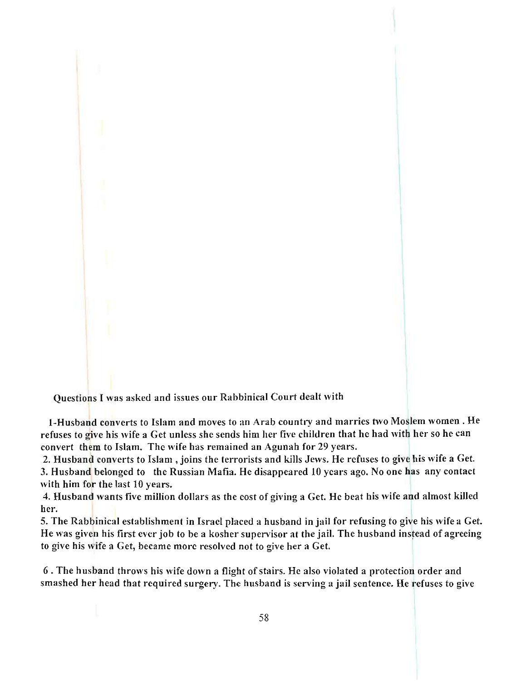

I-Husband converts to Islam and moves to an Arab country and marries two Moslem women. He refuses to give his wife a Get unless she sends him her five children that he had with her so he can convert them to Islam. The wife has remained an Agunah for 29 years.

2. Husband converts to Islam, joins the terrorists and kills Jews. He refuses to give his wife a Get. 3. Husband belonged to the Russian Mafia. He disappeared 10 years ago. No one has any contact with him for the last  $10$  years.

4. Husband wants five million dollars as the cost of giving a Get. He beat his wife and almost killed her.

5. The Rabbinical establishment in Israel placed a husband in jail for refusing to give his wife a Get. He was given his first ever job to be a kosher supervisor at the jail. The husband instead of agreeing to give his wife a Get, became more resolved not to give her a Get.

6. The husband throws his wife down a flight of stairs. He also violated a protection order and smashed her head that required surgery. The husband is serving a jail sentence. He refuses to give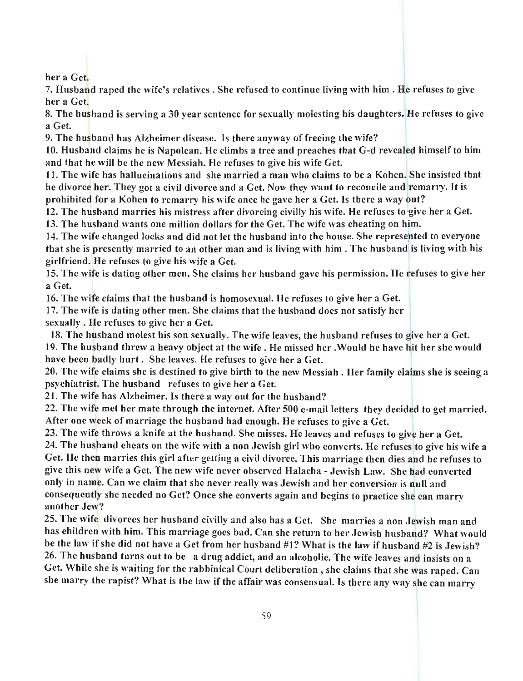her a Get.

7. Husband raped the wife's relatives. She refused to continue living with him. He refuses to give her a Get.

8. The husband is serving a 30 year sentence for sexually molesting his daughters. He refuses to give a Get.

9. The husband has Alzheimer disease. Is there anyway of freeing the wife?

10. Husband claims he is Napolean. He climbs a tree and preaches that G-d revealed himself to him and that he will be the new Messiah. He refuses to give his wife Get.

11. The wife has hallucinations and she married a man who claims to be a Kohen. She insisted that he divorce her. They got a civil divorce and a Get. Now they want to reconcile and remarry. It is prohibited for a Kohen to remarry his wife once he gave her a Get. Is there a way out?

12. The husband marries his mistress after divorcing civilly his wife. He refuses to give her a Get. 13. The husband wants one million dollars for the Get. The wife was cheating on him.

14. The wife changed locks and did not let the husband into the house. She represented to everyone that she is presently married to an other man and is living with him. The husband is living with his girlfriend. He refuses to give his wife a Get.

15. The wife is dating other men. She claims her husband gave his permission. He refuses to give her a Get.

16. The wife claims that the husband is homosexual. He refuses to give her a Get.

17. The wife is dating other men. She claims that the husband does not satisfy her sexually. He refuses to give her a Get.

18. The husband molest his son sexually. The wife leaves, the husband refuses to give her a Get. 19. The husband threw a heavy object at the wife. He missed her .Would he have hit her she would have been badly hurt. She leaves. He refuses to give her a Get.

20. The wife claims she is destined to give birth to the new Messiah. Her family claims she is seeing a psychiatrist. The husband refuses to give her a Get.

21. The wife has Alzheimer. Is there a way out for the husband?

22. The wife met her mate through the internet. After 500 e-mail letters they decided to get married. After one week of marriage the husband had enough. He refuses to give a Get.

23. The wife throws a knife at the husband. She misses. He leaves and refuses to give her a Get.

24. The husband cheats on the wife with a non Jewish girl who converts. He refuses to give his wife a Get. He then marries this girl after getting a civil divorce. This marriage then dies and he refuses to give this new wife a Get. The new wife never observed Halacha - Jewish Law. She had converted only in name. Can we claim that she never really was Jewish and her conversion is null and consequently she needed no Get? Once she converts again and hegins to practice she can marry another Jew?

25. The wife divorces her husband civilly and also has a Get. She marries a non Jewish man and has children with him. This marriage goes bad. Can she return to her Jewish husband? What would be the law if she did not have a Get from her husband #1? What is the law if husband #2 is Jewish? 26. The husband turns out to be a drug addict, and an alcoholic. The wife leaves and insists on a Get. While she is waiting for the rabbinical Court deliberation, she claims that she was raped. Can she marry the rapist? What is the law if the affair was consensual. Is there any way she can marry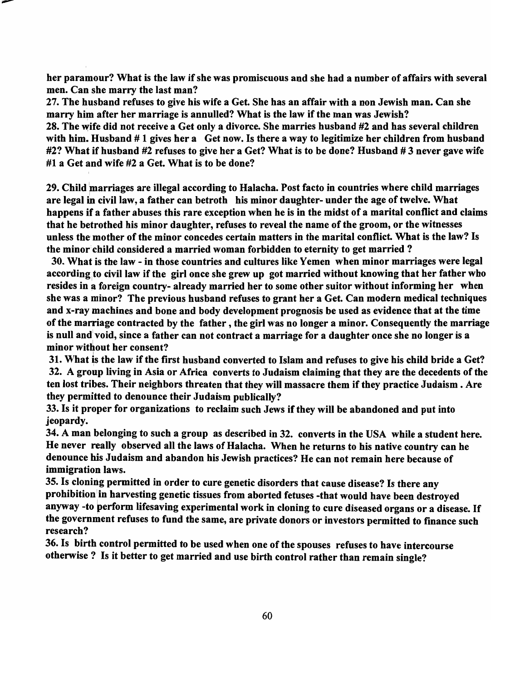her paramour? What is the law if she was promiscuous and she had a number of affairs with several men. Can she marry the last man?

27. The husband refuses to give his wife a Get. She has an affair with a non Jewish man. Can she marry him after her marriage is annulled? What is the law if the man was Jewish?

28. The wife did not receive a Get only a divorce. She marries husband #2 and has several children with him. Husband  $# 1$  gives her a Get now. Is there a way to legitimize her children from husband #2? What if husband #2 refuses to give her a Get? What is to be done? Husband #3 never gave wife #1 a Get and wife #2 a Get. What is to be done?

29. Child marriages are illegal according to Halacha. Post facto in countries where child marriages are legal in civil law, a father can betroth his minor daughter- under the age of twelve. What happens if a father abuses this rare exception when he is in the midst of a marital conflict and claims that he betrothed his minor daughter, refuses to reveal the name of the groom, or the witnesses unless the mother of the minor concedes certain matters in the marital conflict. What is the law? Is the minor child considered a married woman forbidden to eternity to get married ?

30. What is the law - in those countries and cultures like Yemen when minor marriages were legal according to civil law if the girl once she grew up got married without knowing that her father who resides in a foreign country- already married her to some other suitor without informing her when she was a minor? The previous husband refuses to grant her a Get. Can modern medical techniques and x-ray machines and bone and body development prognosis be used as evidence that at the time of the marriage contracted by the father, the girl was no longer a minor. Consequently the marriage is null and' void, since a father can not contract a marriage for a daughter once she no longer is a minor without her consent?

31. What is the law if the first husband converted to Islam and refuses to give his child bride a Get? 32. A group living in Asia or Africa converts to Judaism claiming that they are the decedents of the ten lost tribes. Their neighbors threaten that they will massacre them if they practice Judaism. Are they permitted to denounce their Judaism publically?

33. Is it proper for organizations to reclaim such Jews if they will be abandoned and put into jeopardy.

34. A man belonging to such a group as described in 32. converts in the USA while a student here. He never really observed all the laws of Halacha. When he returns to his native country can he denounce his Judaism and abandon his Jewish practices? He can not remain here because of immigration laws.

35. Is cloning permitted in order to cure genetic disorders that cause disease? Is there any prohibition in harvesting genetic tissues from aborted fetuses -that would have been destroyed anyway -to perform lifesaving experimental work in cloning to cure diseased organs or a disease. If the government refuses to fund the same, are private donors or investors permitted to finance such research?

36. Is birth control permitted to be used when one of the spouses refuses to have intercourse otherwise? Is it better to get married and use birth control rather than remain single?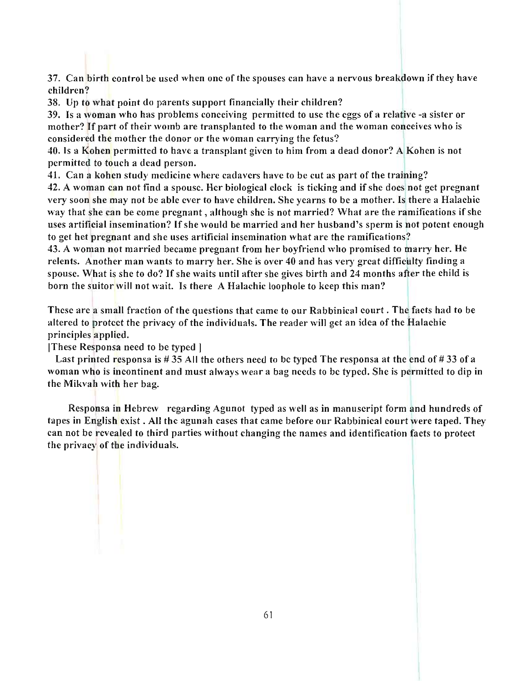37. Can birth control be used when one of the spouses can have a nervous breakdown if they have children ?

38. Up to what point do parents support financially their children?

39. Is a woman who has problems conceiving permitted to use the eggs of a relative -a sister or mother? If part of their womb are transplanted to the woman and the woman conceives who is considered the mother the donor or the woman carrying the fetus?

40. Is a Kohen permitted to have a transplant given to him from a dead donor? A\KOhen is not permitted to touch a dead person.

41. Can a kohen study medicine where cadavers have to be cut as part of the training?

42. A woman can not find a spouse. Her biological clock is ticking and if she does not get pregnant very soon she may not be able ever to have children. She yearns to be a mother. Is there a Halachic way that she can be come pregnant, although she is not married? What are the ramifications if she uses artificial insemination? If she would be married and her husband's sperm is not potent enough to get het pregnant and she uses artificial insemination what are the ramifications?

43. A woman not married became pregnant from her boyfriend who promised to marry her. He relents. Another man wants to marry her. She is over 40 and has very great difficulty finding a spouse. What is she to do? If she waits until after she gives birth and 24 months after the child is born the suitor will not wait. Is there A Halachic loophole to keep this man?

These are a small fraction of the questions that came to our Rabbinical court. The facts had to be altered to protect the privacy of the individuals. The reader will get an idea of the Halachic principles applied.

IThese Responsa need to be typed 1

Last printed responsa is # 35 All the others need to be typed The responsa at the end of # 33 of a woman who is incontinent and must always wear a bag needs to be typed. She is permitted to dip in the Mikvah with her bag.

Responsa in Hebrew regarding Agunot typed as well as in manuscript form and hundreds of tapes in English exist. All the agunah cases that came before our Rabbinical court were taped. They can not be revealed to third parties without changing the names and identification facts to protect the privacy of the individuals.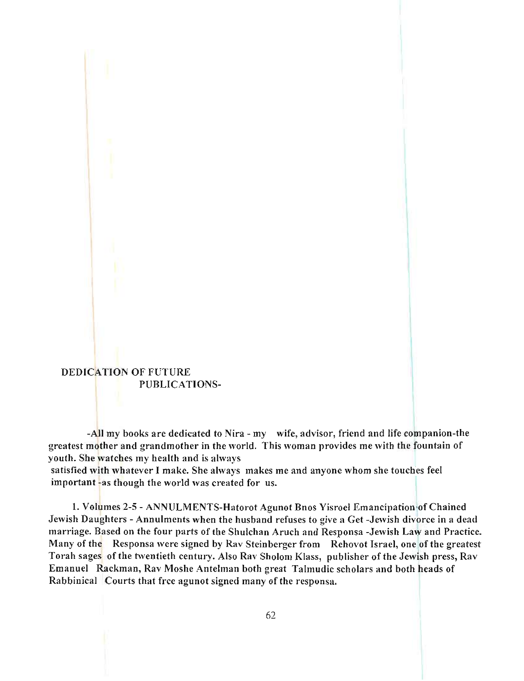# DEDICATION OF FUTURE PUBLICATIONS-

-All my books are dedicated to Nira - my wife, advisor, friend and life companion-the greatest mother and grandmother in the world. This woman provides me with the fountain of youth. She watches my health and is always

satisfied with whatever I make. She always makes me and anyone whom she touches feel important -as though the world was created for us.

1. Volumes 2-5 - ANNULMENTS-Hatorot Agunot Bnos Yisroel Emancipation of Chained Jewish Daughters - Annulments when the husband refuses to give a Get -Jewish divorce in a dead marriage. Based on the four parts of the Shulchan Arueh and Responsa -Jewish Law and Practice. Many of the Responsa were signed by Rav Steinberger from Rehovot Israel, one of the greatest Torah sages of the twentieth century. Also Ray Sholom Klass, publisher of the Jewish press, Ray Emanuel Rackman, Rav Moshe Antelman both great Talmudic scholars and both heads of Rabbinical Courts that free agunot signed many of the responsa.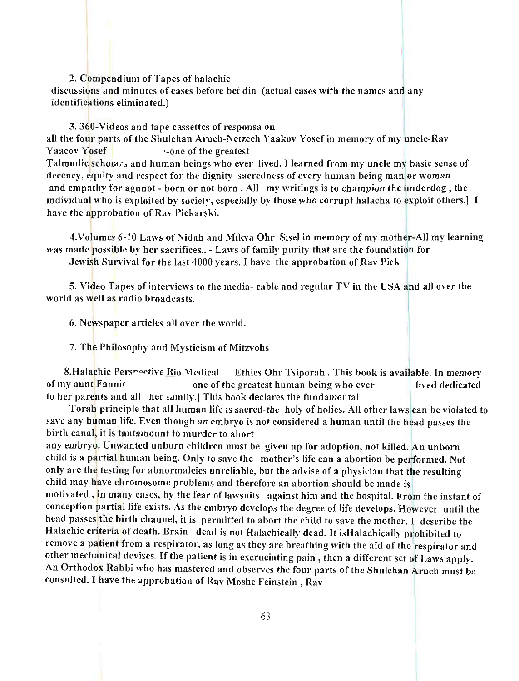### 2. Compendium of Tapes of halachic

discussions and minutes of cases before bet din (actual cases with the names and any identifications eliminated.)

#### 3. 360-Videos and tape cassettes of responsa on

all the four parts of the Shulchan Aruch-Netzech Yaakov Yosef in memory of my uncle-Rav Yaacov Yosef **'**-one of the greatest Talmudic scholars and human beings who ever lived. I learned from my uncle my basic sense of decency, equity and respect for the dignity sacredness of every human being man or woman and empathy for agunot - born or not born. All my writings is to champion the underdog, the individual who is exploited by society, especially by those who corrupt halacha to exploit others.] I have the approbation of Rav Piekarski.

4.Volumes 6-10 Laws of Nidah and Mikva Ohr Sisel in memory of my mother-All my learning was made possible by her sacrifices.. - Laws of family purity that are the foundation for

Jewish Survival for the last 4000 years. I have the approbation of Rav Piek

5. Video Tapes of interviews to the media- cable and regular TV in the USA and all over the world as well as radio broadcasts.

6. Newspaper articles all over the world.

7. The Philosophy and Mysticism of Mitzvohs

8.Halachic Pers~ective Bio Medical Ethics Ohr Tsiporah. This book is available. In memory of my aunt Fannir one of the greatest human being who ever lived dedicated to her parents and all her xamily.] This book declares the fundamental

Torah principle that all human life is sacred-the holy of holies. All other laws can be violated to save any human life. Even though an embryo is not considered a human until the head passes the birth canal, it is tantamount to murder to abort

any embryo. Unwanted unborn children must be given up for adoption, not killed. An unborn child is a partial human being. Only to save the mother's life can a abortion be performed. Not only are the testing for abnormalcies unreliable, but the advise of a physician that the resulting child may have chromosome problems and therefore an abortion should be made is motivated, in many cases, by the fear of lawsuits against him and the hospital. From the instant of conception partial life exists. As the embryo develops the degree of life develops. However until the head passes the birth channel, it is permitted to abort the child to save the mother. I describe the Halachic criteria of death. Brain dead is not Halachically dead. It isHalachically prohibited to remove a patient from a respirator, as long as they are breathing with the aid of the respirator and other mechanical devises. If the patient is in excruciating pain, then a different set of Laws apply. An Orthodox Rabbi who has mastered and observes the four parts of the Shulchan Aruch must be consulted. I have the approbation of Rav Moshe Feinstein, Rav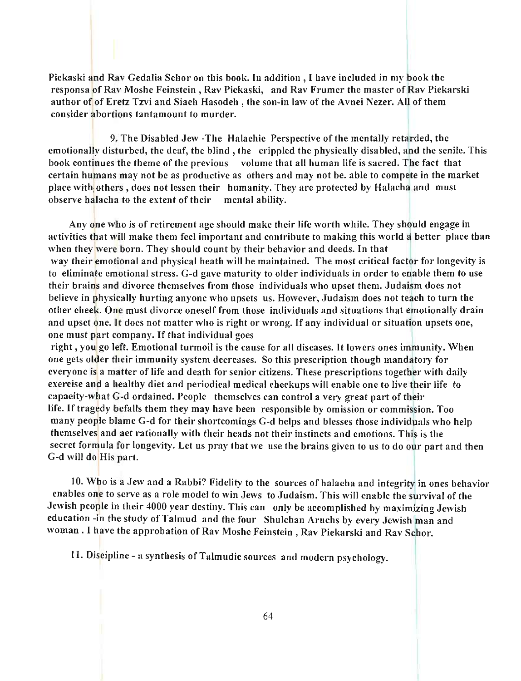Piekaski and Rav Gedalia Schor on this book. **In** addition, I have included in my book the responsa of Rav Moshe Feinstein, Rav Piekaski, and Rav Frumer the master of Rav Piekarski author of of Eretz Tzvi and Siach Hasodeh, the son-in law of the Avnei Nezer. All of them consider abortions tantamount to murder.

9. The Disabled Jew -The Halachic Perspective of the mentally retarded, the emotionally disturbed, the deaf, the blind, the crippled the physically disabled, and the senile. This book continues the theme of the previous volume that all human life is sacred. The fact that certain humans may not be as productive as others and may not be. able to compete in the market place with others, does not lessen their humanity. They are protected by Halacha and must observe halacha to the extent of their mental ability.

Any one who is of retirement age should make their life worth while. They should engage in activities that will make them feel important and contribute to making this world a better place than when they were born. They should count by their behavior and deeds. **In** that way their emotional and physical heath will be maintained. The most critical factor for longevity is to eliminate emotional stress. G-d gave maturity to older individuals in order to enable them to use their brains and divorce themselves from those individuals who upset them. Judaism does not believe in physically hurting anyone who upsets us. However, Judaism does not teach to turn the other cheek. One must divorce oneself from those individuals and situations that emotionally drain and upset one. It does not matter who is right or wrong. If any individual or situation upsets one, one must part company. If that individual goes

right , you go left. Emotional turmoil is the cause for all diseases. It lowers ones immunity. When one gets older their immunity system decreases. So this prescription though mandatory for everyone is a matter of life and death for senior citizens. These prescriptions together with daily exercise and a healthy diet and periodical medical checkups will enable one to live their life to capacity-what G-d ordained. People themselves can control a very great part of their life. If tragedy befalls them they may have been responsible by omission or commission. Too many people blame G-d for their shortcomings G-d helps and blesses those individuals who help themselves and act rationally with their heads not their instincts and emotions. This is the secret formula for longevity. Let us pray that we use the brains given to us to do our part and then G-d will do His part.

10. Who is a Jew and a Rabbi? Fidelity to the sources of halacha and integrity in ones behavior enables one to serve as a role model to win Jews to Judaism. This will enable the survival of the Jewish people in their 4000 year destiny. This can only be accomplished by maximizing Jewish education -in the study of Talmud and the four ShuIchan Aruchs by every Jewish man and woman. I have the approbation of Rav Moshe Feinstein, Rav Piekarski and Rav Schor.

11. Discipline - a synthesis of Talmudic sources and modern psychology.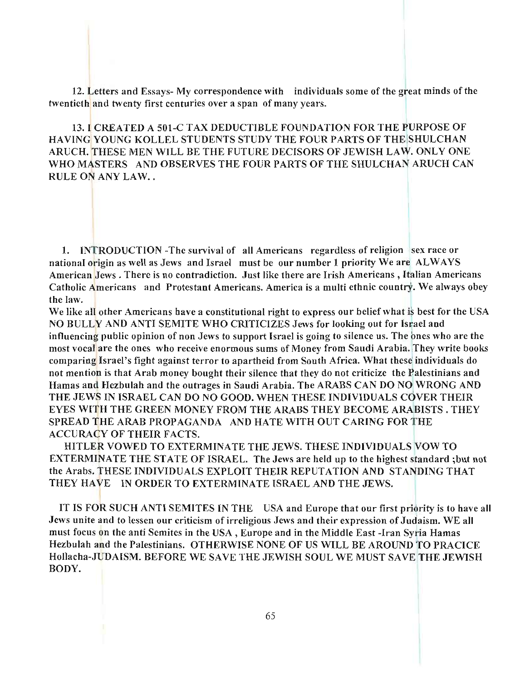12. Letters and Essays- My correspondence with individuals some of the great minds of the twentieth and twenty first centuries over a span of many years.

13.1 CREATED A 501-C TAX DEDUCTIBLE FOUNDATION FOR THE PURPOSE OF HA VING YOUNG KOLLEL STUDENTS STUDY THE FOUR PARTS OF THE SHULCHAN ARUCH. THESE MEN WILL BE THE FUTURE DECISORS OF JEWISH LAW. ONLY ONE WHO MASTERS AND OBSERVES THE FOUR PARTS OF THE SHULCHAN ARUCH CAN RULE ON ANY LAW...

1. INTRODUCTION -The survival of all Americans regardless of religion sex race or national origin as well as Jews and Israel must be our number 1 priority We are ALWAYS American Jews. There is no contradiction. Just like there are Irish Americans, Italian Americans Catholic Americans and Protestant Americans. America is a multi ethnic country. We always obey the law.

We like all other Americans have a constitutional right to express our belief what is best for the USA NO BULLY AND ANTI SEMITE WHO CRITICIZES Jews for looking out for Israel and influencing public opinion of non Jews to support Israel is going to silence us. The ones who are the most vocal are the ones who receive enormous sums of Money from Saudi Arabia. They write books comparing Israel's fight against terror to apartheid from South Africa. What these individuals do not mention is that Arab money bought their silence that they do not criticize the Palestinians and Hamas and Hezbulah and the outrages in Saudi Arabia. The ARABS CAN DO NO WRONG AND THE JEWS IN ISRAEL CAN DO NO GOOD. WHEN THESE INDIVIDUALS COVER THEIR EYES WITH THE GREEN MONEY FROM THE ARABS THEY BECOME ARABISTS. THEY SPREAD THE ARAB PROPAGANDA AND HATE WITH OUT CARING FOR THE ACCURACY OF THEIR FACTS.

HITLER VOWED TO EXTERMINATE THE JEWS. THESE INDIVIDUALS VOW TO EXTERMINATE THE STATE OF ISRAEL. The Jews are held up to the highest standard ;but not the Arabs. THESE INDIVIDUALS EXPLOIT THEIR REPUTATION AND STANDING THAT THEY HAVE IN ORDER TO EXTERMINATE ISRAEL AND THE JEWS.

IT IS FOR SUCH ANTI SEMITES IN THE USA and Europe that our first priority is to have all Jews unite and to lessen our criticism of irreligious Jews and their expression of Judaism. WE all must focus on the anti Semites in the USA, Europe and in the Middle East -Iran Syria Hamas Hezbulah and the Palestinians. OTHERWISE NONE OF US WILL BE AROUND TO PRACICE Hollacha-JUDAISM. BEFORE WE SAVE THE JEWISH SOUL WE MUST SAVE THE JEWISH BODY.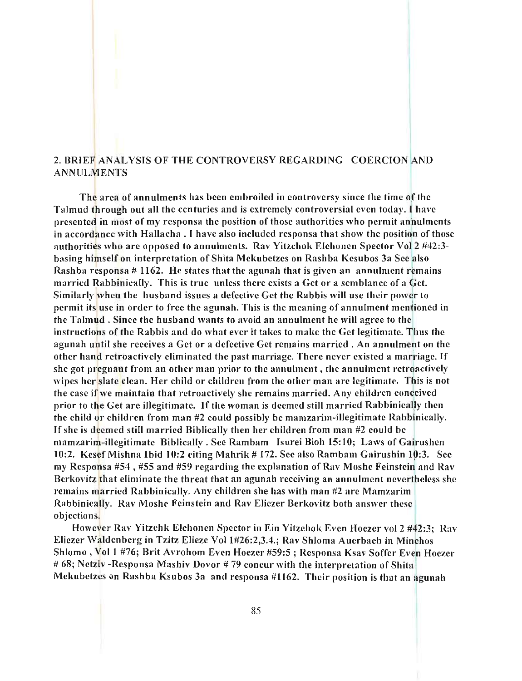## 2. BRIEF ANALYSTS OF THE CONTROVERSY REGARDING COERCION AND ANNULMENTS

The area of annulments has been embroiled in controversy since the time of the Talmud through out all the centuries and is extremely controversial even today. I have presented in most of my responsa the position of those authorities who permit annulments in accordance with Hallacha . I have also included responsa that show the position of those authorities who are opposed to annulments. Rav Yitzchok EIchonen Spector Vol 2 #42:3 basing himself on interpretation of Shita Mekubetzes on Rashba Kesubos 3a Sec also Rashha responsa # 1162. He states that the agunah that is given an annulment remains married Rabbinically. This is true unless there exists a Get or a semhlance of a Get. Similarly when the husband issues a defective Get the Rabbis will use their power to permit its usc in order to free the agunah. This is the meaning of annulment mentioned in the Talmud. Since the husband wants to avoid an annulment he will agree to the instructions of the Rabbis and do what ever it takes to make the Get legitimate. Thus the agunah until she receives a Get or a defective Get remains married. An annulment on the other hand retroactively eliminated the past marriage. There never existed a marriage. If she got pregnant from an other man prior to the annulment, the annulment retroactively wipes her slate clean. Her child or children from the other man are legitimate. This is not the case if we maintain that retroactively she remains married. Any children conceived prior to the Get arc illegitimate. If the woman is deemed still married Rabbinically then the child or children from man  $#2$  could possibly be mamzarim-illegitimate Rabbinically. If she is deemed still married Biblically then her children from man #2 could be mamzarim-iIIegitimate Biblically. See Rambam Isurei Bioh IS: 1 0; Laws of Gairushen 10:2. Kesef Mishna Ibid 10:2 citing Mahrik # 172. See also Rambam Gairushin 10:3. See my Responsa #54 , #55 and #59 regarding the explanation of Rav Moshe Feinstein and Rav Berkovitz that eliminate the threat that an agunah receiving an annulment nevertheless she remains married Rabbinically. Any children she has with man #2 are Mamzarim Rabbinically. Rav Moshe Feinstein and Rav Eliezer Berkovitz both answer these objections.

However Rav Yitzehk EIchonen Spector in Ein Yitzehok Even Hoezer vol 2 #42:3; Rav Eliezer Waldenberg in Tzitz Elieze Vol 1#26:2,3.4.; Rav Shloma Auerbach in Minchos Shlomo , Vol 1 #76; Brit Avrohom Even Hoezer #59:5; Responsa Ksav Soffer Even Hoezer # 68; Netziv -Responsa Mashiv Dovor # 79 concur with the interpretation of Shita Mekubetzes on Rashba Ksubos 3a and responsa #1162. Their position is that an agunah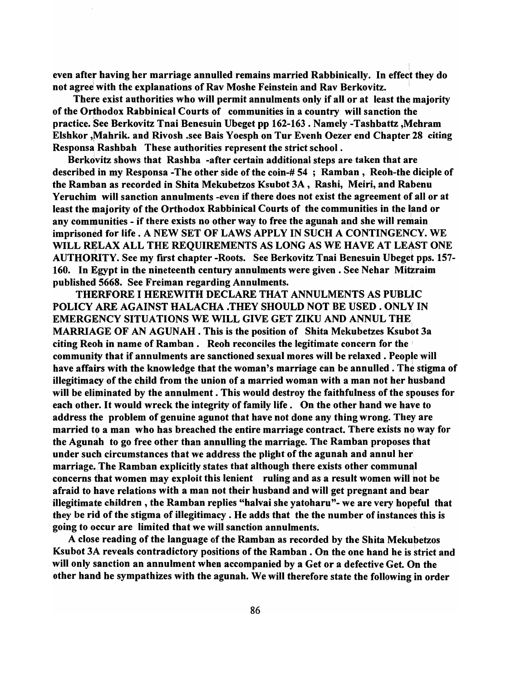even after having her marriage annulled remains married Rabbinically. In effect they do not agree with the explanations of Rav Moshe Feinstein and Rav Berkovitz.

There exist authorities who will permit annulments only if all or at least the majority of the Orthodox Rabbinical Courts of communities in a country will sanction the practice. See Berkovitz Tnai Benesuin Ubeget pp 162-163 . Namely -Tashbattz ,Mehram Elshkor , Mahrik. and Rivosh .see Bais Yoesph on Tur Evenh Oezer end Chapter 28 citing Responsa Rashbah These authorities represent the strict school.

Berkdvitz shows that Rashba -after certain additional steps are taken that are described in my Responsa -The other side of the coin-#54; Ramban, Reoh-the diciple of the Ramban as recorded in Shita Mekubetzos Ksubot 3A, Rashi, Meiri, and Rabenu Yeruchim will sanction annulments -even if there does not exist the agreement of all or at least the majority of the Orthodox Rabbinical Courts of the communities in the land or any communities - if there exists no other way to free the agunah and she will remain imprisoned for life. A NEW SET OF LAWS APPLY IN SUCH A CONTINGENCY. WE WILL RELAX ALL THE REQUIREMENTS AS LONG AS WE HAVE AT LEAST ONE AUTHORITY. See my first chapter -Roots. See Berkovitz Tnai Benesuin Ubeget pps. 157- 160. In Egypt in the nineteenth century annulments were given. See Nehar Mitzraim published 5668. See Freiman regarding Annulments.

THERFORE I HEREWITH DECLARE THAT ANNULMENTS AS PUBLIC POLICY ARE AGAINST HALACHA .THEY SHOULD NOT BE USED. ONLY IN EMERGENCY SITUATIONS WE WILL GIVE GET ZIKU AND ANNUL THE, MARRIAGE OF AN AGUNAH . This is the position of Shita Mekubetzes Ksubot 3a citing Reoh in name of Ramban. Reoh reconciles the legitimate concern for the  $\frac{1}{2}$ community that if annulments are sanctioned sexual mores will be relaxed. People will have affairs with the knowledge that the woman's marriage can be annulled. The stigma of illegitimacy of the child from the union of a married woman with a man not her husband will be eliminated by the annulment. This would destroy the faithfulness of the spouses for each other. It would wreck the integrity of family life. On the other hand we have to address the problem of genuine agunot that have not done any thing wrong. They are married to a man who has breached the entire marriage contract. There exists no way for the Agunah to go free other than annulling the marriage. The Ramban proposes that under such circumstances that we address the plight of the agunah and annul her marriage.,The Ramban explicitly states that although there exists other communal concerns that women may exploit this lenient ruling and as a result women will hot be afraid to have relations with a man not their husband and will get pregnant and bear illegitimate children, the Ramban replies "halvai she yatoharu"- we are very hopeful that they be rid of the stigma of illegitimacy. He adds that the the number of instances this is going to occur are limited that we will sanction annulments.

A close reading of the language of the Ramban as recorded by the Shita Mekubetzos Ksubot 3A reveals contradictory positions of the Ramban. On the one hand he is strict and will only sanction an annulment when accompanied by a Get or a defective Get. On the other hand he sympathizes with the agunah. We will therefore state the following in order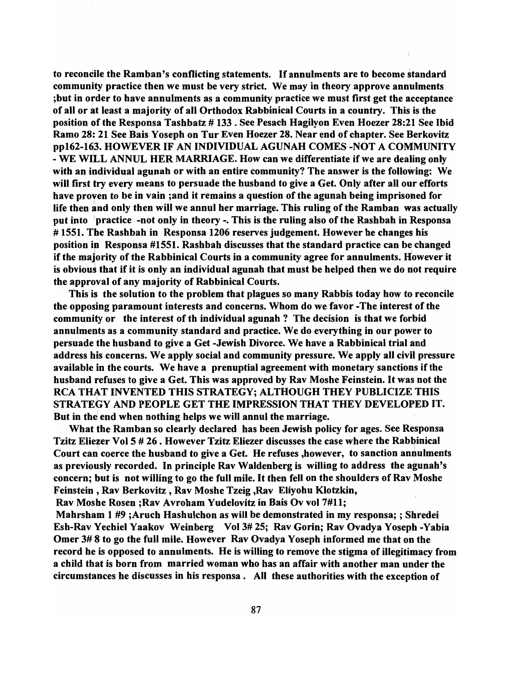to reconcile the Ramban's conflicting statements. If annulments are to become standard community practice then we must be very strict. We may in theory approve annulments ;but in order to have annulments as a community practice we must first get the acceptance of all or at least a majority of all Orthodox Rabbinical Courts in a country. This is the position of the Responsa Tashbatz # 133 . See Pesach Hagilyon Even Hoezer 28:21 See Ibid Ramo 28: 21 See Bais Yoseph on Tur Even Hoezer 28. Near end of chapter. See Berkovitz ppI62-163. HOWEVER IF AN INDIVIDUAL AGUNAH COMES -NOT A COMMUNITY <sup>I</sup> - WE WILL ANNUL HER MARRIAGE. How can we differentiate if we are dealing only with an individual agunah or with an entire community? The answer is the following: We will first try every means to persuade the husband to give a Get. Only after all our efforts have proven to be in vain ;and it remains a question of the agunah being imprisoned for life then and only then will we annul her marriage. This ruling of the Ramban was actually put into <sup>I</sup>practice -not only in theory -. This is the ruling also of the Rashbah in Responsa # 1551. The Rashbah in Responsa 1206 reserves judgement. However he changes his position in Responsa  $#1551$ . Rashbah discusses that the standard practice can be changed if the majority of the Rabbinical Courts in a community agree for annulments. However it is obvious that if it is only an individual agunah that must be helped then we do not require the approval of any majority of Rabbinical Courts.

This is the solution to the problem that plagues so many Rabbis today how to reconcile the opposing paramount interests and concerns. Whom do we favor -The interest of the community or the interest of th individual agunah ? The decision is that we forbid annulments as a community standard and practice. We do everything in our power to persuade the husband to give a Get -Jewish Divorce. We have a Rabbinical trial and address his concerns. We apply social and community pressure. We apply all civil pressure available in the courts. We have a prenuptial agreement with monetary sanctions if the husband refuses to give a Get. This was approved by Rav Moshe Feinstein. It was not the RCA THAT INVENTED THIS STRATEGY: ALTHOUGH THEY PUBLICIZE THIS STRATEGY AND PEOPLE GET THE IMPRESSION THAT THEY DEVELOPED IT. But in the end when nothing helps we will annul the marriage.

What the Ramban so clearly declared has been Jewish policy for ages. See Responsa Tzitz Eliezer Vol 5 # 26 . However Tzitz Eliezer discusses the case where the Rabbinical Court can coerce the husband to give a Get. He refuses ,however, to sanction annulments as previously recorded. In principle Rav Waldenberg is willing to address the agunah's concern; but is not willing to go the full mile. It then fell on the shoulders of Rav Moshe Feinstein, Rav Berkovitz, Rav Moshe Tzeig ,Rav Eliyohu Klotzkin,

Rav Moshe Rosen ;Rav Avroham Yudelovitz in Bais Ov vol 7#11;

Mahrsham 1 #9 ;Aruch Hashulchon as will be demonstrated in my responsa; ; Shredei Esh-Rav Yechiel Yaakov Weinberg Vol 3# 25; Rav Gorin; Rav Ovadya Yoseph -Yabia Omer 3# 8 to go the full mile. However Rav Ovadya Yoseph informed me that on the record he is opposed to annulments. He is willing to remove the stigma of illegitimacy from a child that is born from married woman who has an affair with another man under the circumstances he discusses in his responsa. All these authorities with the exception of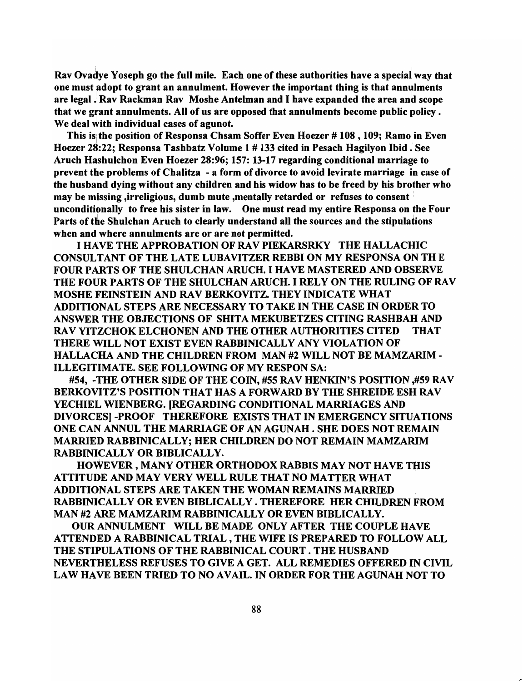Rav Ovadye Yoseph go the full mile. Each one of these authorities have a special way that  $\,$ one must adopt to grant an annulment. However the important thing is that annulments are legal . Rav Rackman Rav Moshe Antelman and I have expanded the area and scope that we grant annulments. All of us are opposed that annulments become public policy. We deal with individual cases of agunot.

This is the position of Responsa Chsam Soffer Even Hoezer # 108, 109; Ramo in Even Hoezer 28:22; Responsa Tashbatz Volume 1 # 133 cited in Pesach Hagilyon Ibid .1 See Aruch Hashulchon Even Hoezer 28:96; 157: 13-17 regarding conditional marriage to prevent the problems of Chalitza - a form of divorce to avoid levirate marriage in case of the husband dying without any children and his widow has to be freed by his brother who may be missing ,irreligious, dumb mute ,mentally retarded or refuses to consent! unconditionally to free his sister in law. One must read my entire Responsa on the Four Parts of the Shulchan Aruch to clearly understand all the sources and the stipulations when and where annulments are or are not permitted.

I HAVE THE APPROBATION OF RAV PIEKARSRKY THE HALLACHIC CONSULTANT OF THE LATE LUBA VITZER REBBI ON MY RESPONSA ON TH E FOUR PARTS OF THE SHULCHAN ARUCH. I HAVE MASTERED AND OBSERVE THE FOUR PARTS OF THE SHULCHAN ARUCH. I RELY ON THE RULING OF RAV MOSHE FEINSTEIN AND RAV BERKOVITZ. THEY INDICATE WHAT ADDITIONAL STEPS ARE NECESSARY TO TAKE IN THE CASE IN ORDER TO ANSWER THE OBJECTIONS OF SHITA MEKUBETZES CITING RASHBAH AND RAV YITZCHOK ELCHONEN AND THE OTHER AUTHORITIES CITED THAT THERE WILL NOT EXIST EVEN RABBINICALL Y ANY VIOLATION OF HALLACHA AND THE CHILDREN FROM MAN #2 WILL NOT BE MAMZARIM - ILLEGITIMATE. SEE FOLLOWING OF MY RESPON SA:

#54, -THE OTHER SIDE OF THE COIN, #55 RAV HENKIN'S POSITION ,#59 RAV BERKOVITZ'S POSITION THAT HAS A FORWARD BY THE SHREIDE ESH RAV YECHIEL WIENBERG. [REGARDING CONDITIONAL MARRIAGES AND DIVORCESI-PROOF THEREFORE EXISTS THAT IN EMERGENCY SITUATIONS ONE CAN ANNUL THE MARRIAGE OF AN AGUNAH . SHE DOES NOT REMAIN MARRIED RABBINICALLY: HER CHILDREN DO NOT REMAIN MAMZARIM RABBINICALLY OR BIBLICALLY.

HOWEVER, MANY OTHER ORTHODOX RABBIS MAY NOT HAVE THIS ATTITUDE AND MAY VERY WELL RULE THAT NO MATTER WHAT ADDITIONAL STEPS ARE TAKEN THE WOMAN REMAINS MARRIED RABBINICALL Y OR EVEN BIBLICALLY. THEREFORE HER CHILDREN FROM MAN #2 ARE MAMZARIM RABBINICALLY OR EVEN BIBLICALLY.

OUR ANNULMENT WILL BE MADE ONLY AFTER THE COUPLE HAVE ATTENDED A RABBINICAL TRIAL, THE WIFE IS PREPARED TO FOLLOW ALL THE STIPULATIONS OF THE RABBINICAL COURT. THE HUSBAND NEVERTHELESS REFUSES TO GIVE A GET. ALL REMEDIES OFFERED IN CIVIL LAW HAVE BEEN TRIED TO NO AVAIL. IN ORDER FOR THE AGUNAH NOT TO